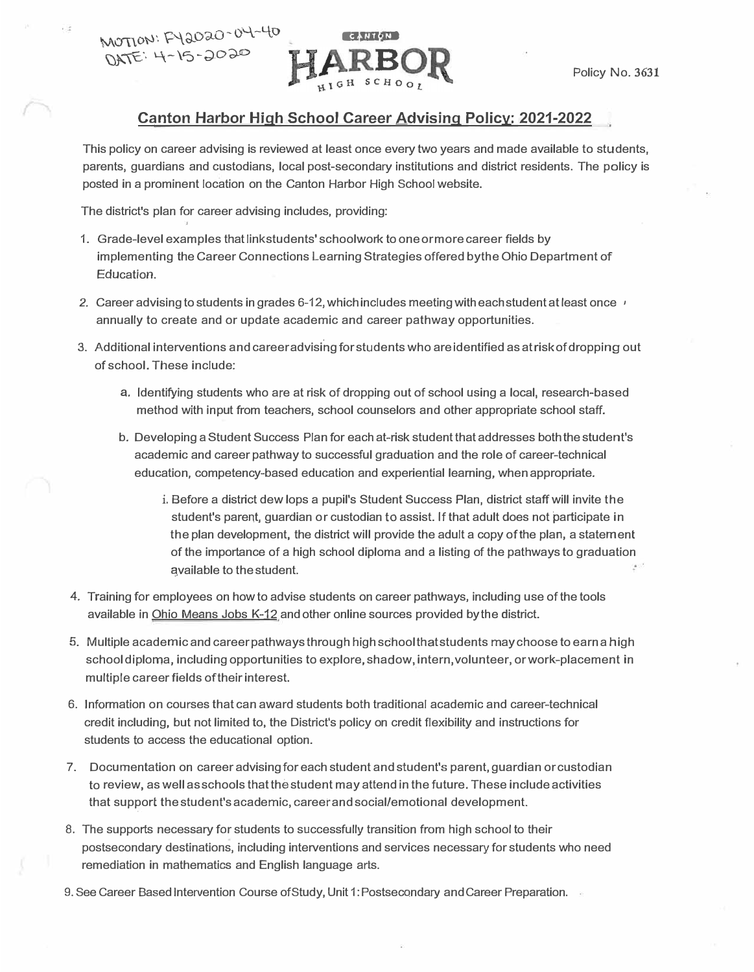

## **Canton Harbor High School Career Advising Policy: 2021-2022**

This policy on career advising is reviewed at least once every two years and made available to students, parents, guardians and custodians, local post-secondary institutions and district residents. The policy is posted in a prominent location on the Canton Harbor High School website.

The district's plan for career advising includes, providing:

 $\overline{D}$ ATE: 4-15-2020

- 1. Grade-level examples that link students' schoolwork to one or more career fields by implementing the Career Connections Learning Strategies offered bythe Ohio Department of Education.
- *2.* Career advising to students in grades 6-12, which includes meeting with each student at least once , annually to create and or update academic and career pathway opportunities.
- 3. Additional interventions and career advising for students who are identified as at risk of dropping out of school. These include:
	- a. Identifying students who are at risk of dropping out of school using a local, research-based method with input from teachers, school counselors and other appropriate school staff.
	- b. Developing a Student Success Plan for each at-risk student that addresses both the student's academic and career pathway to successful graduation and the role of career-technical education, competency-based education and experiential learning, when appropriate.
		- i. Before a district dew lops a pupil's Student Success Plan, district staff will invite the student's parent, guardian or custodian to assist. If that adult does not participate in the plan development, the district will provide the adult a copy of the plan, a statement of the importance of a high school diploma and a listing of the pathways to graduation �vailable to the student.
- 4. Training for employees on how to advise students on career pathways, including use of the tools available in Ohio Means Jobs K-12 and other online sources provided bythe district.
- 5. Multiple academic and career pathways through high school that students may choose to earn a high school diploma, including opportunities to explore, shadow, intern, volunteer, or work-placement in multiple career fields of their interest.
- 6. Information on courses that can award students both traditional academic and career-technical credit including, but not limited to, the District's policy on credit flexibility and instructions for students to access the educational option.
- 7. Documentation on career advising for each student and student's parent, guardian or custodian to review, as well as schools that the student may attend in the future. These include activities that support the student's academic, careerandsocial/emotional development.
- 8. The supports necessary for students to successfully transition from high school to their postsecondary destinations, including interventions and services necessary for students who need remediation in mathematics and English language arts.
- 9. See Career Based Intervention Course of Study, Unit 1: Postsecondary and Career Preparation.